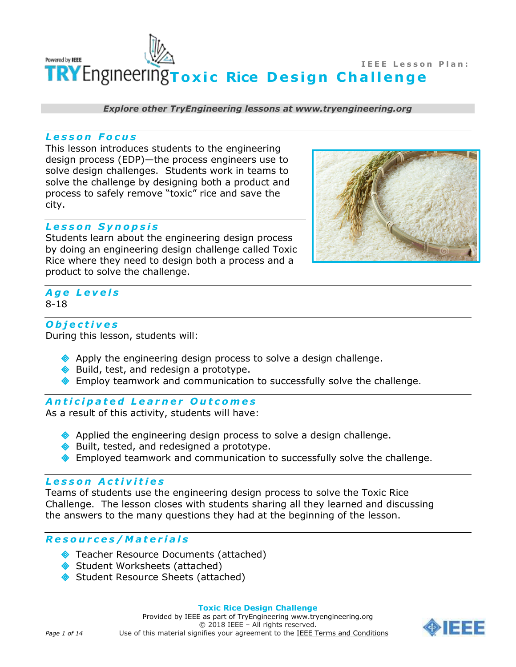

*Explore other TryEngineering lessons at www.tryengineering.org*

#### *L e s s o n F o c u s*

This lesson introduces students to the engineering design process (EDP)—the process engineers use to solve design challenges. Students work in teams to solve the challenge by designing both a product and process to safely remove "toxic" rice and save the city.

#### *L e s s o n S y n o p s i s*

Students learn about the engineering design process by doing an engineering design challenge called Toxic Rice where they need to design both a process and a product to solve the challenge.



# *A g e L e v e l s* 8-18

### *O b j e c t i v e s*

During this lesson, students will:

- $\triangle$  Apply the engineering design process to solve a design challenge.
- ◆ Build, test, and redesign a prototype.
- Employ teamwork and communication to successfully solve the challenge.

#### *A n t i c i p a t e d L e a r n e r O u t c o m e s*

As a result of this activity, students will have:

- $\triangle$  Applied the engineering design process to solve a design challenge.
- ◆ Built, tested, and redesigned a prototype.
- **Employed teamwork and communication to successfully solve the challenge.**

# *L e s s o n A c t i v i t i e s*

Teams of students use the engineering design process to solve the Toxic Rice Challenge. The lesson closes with students sharing all they learned and discussing the answers to the many questions they had at the beginning of the lesson.

### *R e s o u r c e s / M a t e r i a l s*

- ◆ Teacher Resource Documents (attached)
- Student Worksheets (attached)
- ◆ Student Resource Sheets (attached)



#### **Toxic Rice Design Challenge**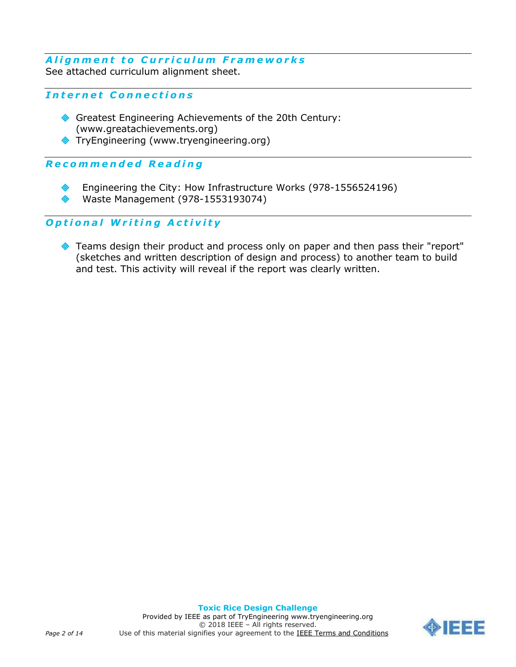# **Alignment to Curriculum Frameworks** See attached curriculum alignment sheet.

# *I n t e r n e t C o n n e c t i o n s*

- Greatest Engineering Achievements of the 20th Century: (www.greatachievements.org)
- TryEngineering (www.tryengineering.org)

# *R e c o m m e n d e d R e a d i n g*

- Engineering the City: How Infrastructure Works (978-1556524196)
- Waste Management (978-1553193074)

# *O p t i o n a l W r i t i n g A c t i v i t y*

◆ Teams design their product and process only on paper and then pass their "report" (sketches and written description of design and process) to another team to build and test. This activity will reveal if the report was clearly written.

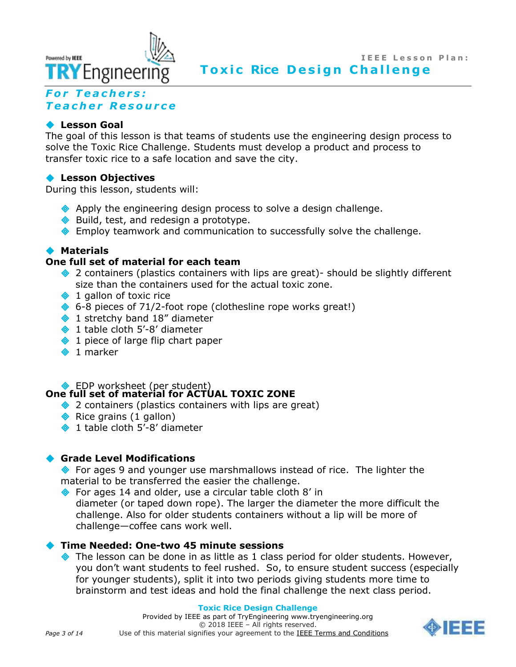

# **For Teachers:** *T e a c h e r R e s o u r c e*

# **Lesson Goal**

The goal of this lesson is that teams of students use the engineering design process to solve the Toxic Rice Challenge. Students must develop a product and process to transfer toxic rice to a safe location and save the city.

### **Lesson Objectives**

During this lesson, students will:

- Apply the engineering design process to solve a design challenge.
- ◆ Build, test, and redesign a prototype.
- **Employ teamwork and communication to successfully solve the challenge.**

# **Materials**

### **One full set of material for each team**

- ◆ 2 containers (plastics containers with lips are great)- should be slightly different size than the containers used for the actual toxic zone.
- $\bullet$  1 gallon of toxic rice
- $\bullet$  6-8 pieces of 71/2-foot rope (clothesline rope works great!)
- 1 stretchy band 18" diameter
- ◆ 1 table cloth 5'-8' diameter
- $\bullet$  1 piece of large flip chart paper
- $\bullet$  1 marker

#### ◆ EDP worksheet (per student) **One full set of material for ACTUAL TOXIC ZONE**

- ◆ 2 containers (plastics containers with lips are great)
- $\triangle$  Rice grains (1 gallon)
- ◆ 1 table cloth 5'-8' diameter

### **Grade Level Modifications**

 For ages 9 and younger use marshmallows instead of rice. The lighter the material to be transferred the easier the challenge.

◆ For ages 14 and older, use a circular table cloth 8' in diameter (or taped down rope). The larger the diameter the more difficult the challenge. Also for older students containers without a lip will be more of challenge—coffee cans work well.

### **Time Needed: One-two 45 minute sessions**

 $\bullet$  The lesson can be done in as little as 1 class period for older students. However, you don't want students to feel rushed. So, to ensure student success (especially for younger students), split it into two periods giving students more time to brainstorm and test ideas and hold the final challenge the next class period.

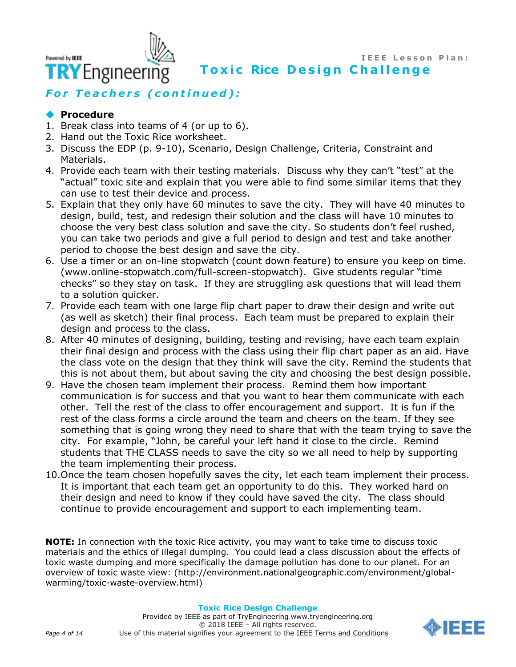**I E E E L e s s o n P l a n : Toxic Rice Design Challenge** 

**TRY** Engineering

# *For Teachers (continued):*

# **Procedure**

Powered by **IEEE** 

- 1. Break class into teams of 4 (or up to 6).
- 2. Hand out the Toxic Rice worksheet.
- 3. Discuss the EDP (p. 9-10), Scenario, Design Challenge, Criteria, Constraint and Materials.
- 4. Provide each team with their testing materials. Discuss why they can't "test" at the "actual" toxic site and explain that you were able to find some similar items that they can use to test their device and process.
- 5. Explain that they only have 60 minutes to save the city. They will have 40 minutes to design, build, test, and redesign their solution and the class will have 10 minutes to choose the very best class solution and save the city. So students don't feel rushed, you can take two periods and give a full period to design and test and take another period to choose the best design and save the city.
- 6. Use a timer or an on-line stopwatch (count down feature) to ensure you keep on time. (www.online-stopwatch.com/full-screen-stopwatch). Give students regular "time checks" so they stay on task. If they are struggling ask questions that will lead them to a solution quicker.
- 7. Provide each team with one large flip chart paper to draw their design and write out (as well as sketch) their final process. Each team must be prepared to explain their design and process to the class.
- 8. After 40 minutes of designing, building, testing and revising, have each team explain their final design and process with the class using their flip chart paper as an aid. Have the class vote on the design that they think will save the city. Remind the students that this is not about them, but about saving the city and choosing the best design possible.
- 9. Have the chosen team implement their process. Remind them how important communication is for success and that you want to hear them communicate with each other. Tell the rest of the class to offer encouragement and support. It is fun if the rest of the class forms a circle around the team and cheers on the team. If they see something that is going wrong they need to share that with the team trying to save the city. For example, "John, be careful your left hand it close to the circle. Remind students that THE CLASS needs to save the city so we all need to help by supporting the team implementing their process.
- 10.Once the team chosen hopefully saves the city, let each team implement their process. It is important that each team get an opportunity to do this. They worked hard on their design and need to know if they could have saved the city. The class should continue to provide encouragement and support to each implementing team.

**NOTE:** In connection with the toxic Rice activity, you may want to take time to discuss toxic materials and the ethics of illegal dumping. You could lead a class discussion about the effects of toxic waste dumping and more specifically the damage pollution has done to our planet. For an overview of toxic waste view: (http://environment.nationalgeographic.com/environment/globalwarming/toxic-waste-overview.html)

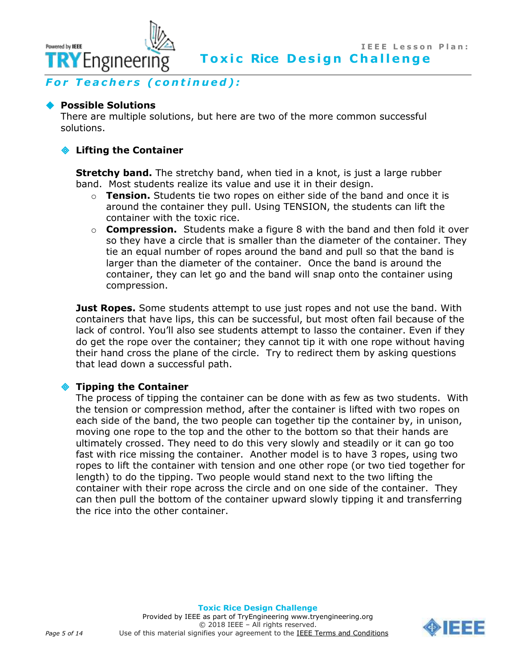**For Teachers (continued):** 

#### **Possible Solutions**

**TRY** Engineering

Powered by **IEEE** 

There are multiple solutions, but here are two of the more common successful solutions.

#### **Lifting the Container**

**Stretchy band.** The stretchy band, when tied in a knot, is just a large rubber band. Most students realize its value and use it in their design.

- o **Tension.** Students tie two ropes on either side of the band and once it is around the container they pull. Using TENSION, the students can lift the container with the toxic rice.
- o **Compression.** Students make a figure 8 with the band and then fold it over so they have a circle that is smaller than the diameter of the container. They tie an equal number of ropes around the band and pull so that the band is larger than the diameter of the container. Once the band is around the container, they can let go and the band will snap onto the container using compression.

**Just Ropes.** Some students attempt to use just ropes and not use the band. With containers that have lips, this can be successful, but most often fail because of the lack of control. You'll also see students attempt to lasso the container. Even if they do get the rope over the container; they cannot tip it with one rope without having their hand cross the plane of the circle. Try to redirect them by asking questions that lead down a successful path.

### **Tipping the Container**

The process of tipping the container can be done with as few as two students. With the tension or compression method, after the container is lifted with two ropes on each side of the band, the two people can together tip the container by, in unison, moving one rope to the top and the other to the bottom so that their hands are ultimately crossed. They need to do this very slowly and steadily or it can go too fast with rice missing the container. Another model is to have 3 ropes, using two ropes to lift the container with tension and one other rope (or two tied together for length) to do the tipping. Two people would stand next to the two lifting the container with their rope across the circle and on one side of the container. They can then pull the bottom of the container upward slowly tipping it and transferring the rice into the other container.

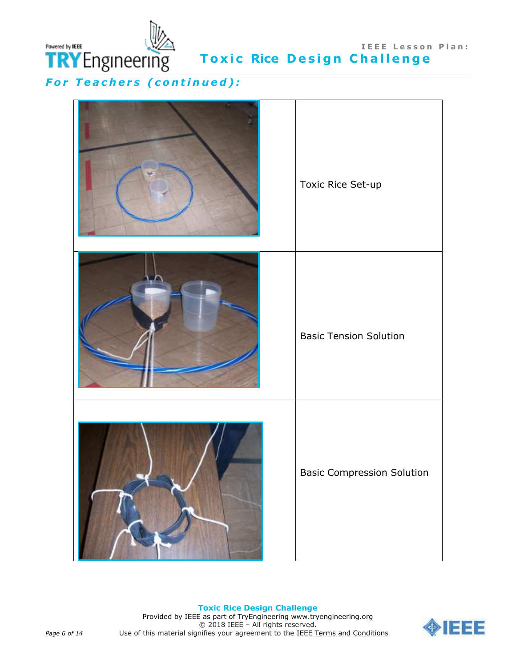

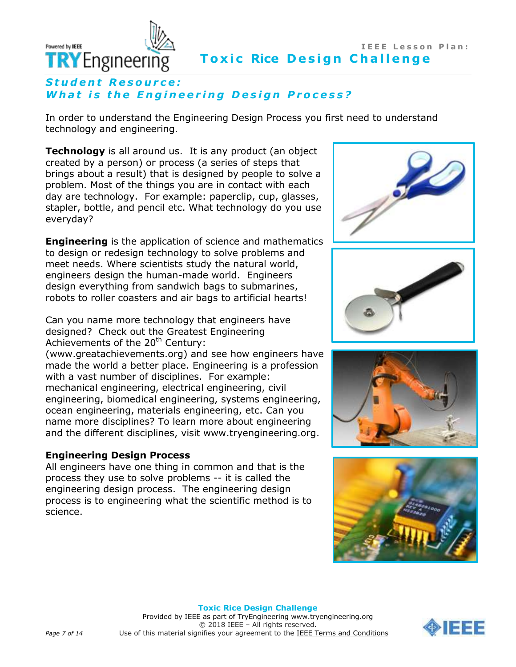

# **Student Resource: What is the Engineering Design Process?**

In order to understand the Engineering Design Process you first need to understand technology and engineering.

**Technology** is all around us. It is any product (an object created by a person) or process (a series of steps that brings about a result) that is designed by people to solve a problem. Most of the things you are in contact with each day are technology. For example: paperclip, cup, glasses, stapler, bottle, and pencil etc. What technology do you use everyday?

**Engineering** is the application of science and mathematics to design or redesign technology to solve problems and meet needs. Where scientists study the natural world, engineers design the human-made world. Engineers design everything from sandwich bags to submarines, robots to roller coasters and air bags to artificial hearts!

Can you name more technology that engineers have designed? Check out the Greatest Engineering Achievements of the 20<sup>th</sup> Century:

(www.greatachievements.org) and see how engineers have made the world a better place. Engineering is a profession with a vast number of disciplines. For example: mechanical engineering, electrical engineering, civil engineering, biomedical engineering, systems engineering, ocean engineering, materials engineering, etc. Can you name more disciplines? To learn more about engineering and the different disciplines, visit www.tryengineering.org.

# **Engineering Design Process**

All engineers have one thing in common and that is the process they use to solve problems -- it is called the engineering design process. The engineering design process is to engineering what the scientific method is to science.









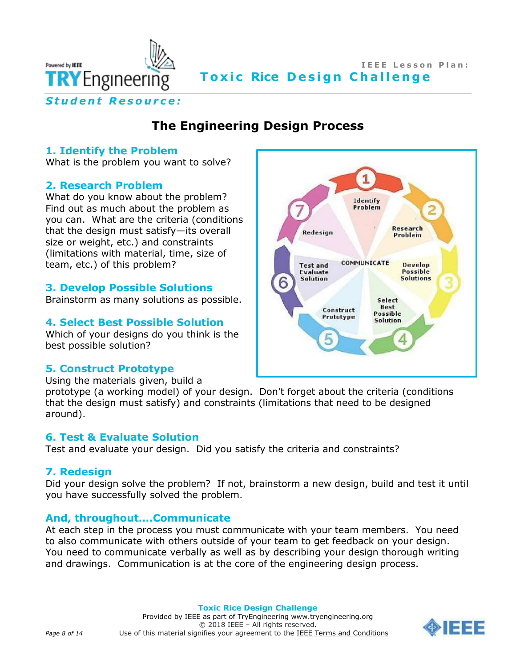

# **IEEE Lesson Plan: Toxic Rice Design Challenge**

*S t u d e n t R e s o u r c e :*

# **The Engineering Design Process**

# **1. Identify the Problem**

What is the problem you want to solve?

# **2. Research Problem**

What do you know about the problem? Find out as much about the problem as you can. What are the criteria (conditions that the design must satisfy—its overall size or weight, etc.) and constraints (limitations with material, time, size of team, etc.) of this problem?

# **3. Develop Possible Solutions**

Brainstorm as many solutions as possible.

# **4. Select Best Possible Solution**

Which of your designs do you think is the best possible solution?

# **5. Construct Prototype**

Using the materials given, build a

prototype (a working model) of your design. Don't forget about the criteria (conditions that the design must satisfy) and constraints (limitations that need to be designed around).

# **6. Test & Evaluate Solution**

Test and evaluate your design. Did you satisfy the criteria and constraints?

# **7. Redesign**

Did your design solve the problem? If not, brainstorm a new design, build and test it until you have successfully solved the problem.

# **And, throughout….Communicate**

At each step in the process you must communicate with your team members. You need to also communicate with others outside of your team to get feedback on your design. You need to communicate verbally as well as by describing your design thorough writing and drawings. Communication is at the core of the engineering design process.



#### **Toxic Rice Design Challenge**

Provided by IEEE as part of TryEngineering www.tryengineering.org © 2018 IEEE – All rights reserved. *Page 8 of 14* Use of this material signifies your agreement to the [IEEE Terms and Conditions](https://www.ieee.org/site-terms-conditions.html)

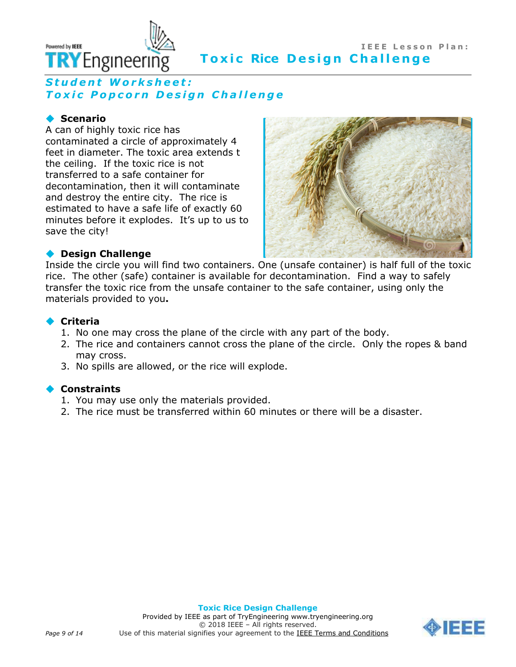

# **IEEE Lesson Plan: Toxic Rice Design Challenge**

# Student Worksheet: *T o x i c P o p c o r n D e s i g n C h a l l e n g e*

# **◆ Scenario**

A can of highly toxic rice has contaminated a circle of approximately 4 feet in diameter. The toxic area extends t the ceiling. If the toxic rice is not transferred to a safe container for decontamination, then it will contaminate and destroy the entire city. The rice is estimated to have a safe life of exactly 60 minutes before it explodes. It's up to us to save the city!



### **Design Challenge**

Inside the circle you will find two containers. One (unsafe container) is half full of the toxic rice. The other (safe) container is available for decontamination. Find a way to safely transfer the toxic rice from the unsafe container to the safe container, using only the materials provided to you**.**

### **Criteria**

- 1. No one may cross the plane of the circle with any part of the body.
- 2. The rice and containers cannot cross the plane of the circle. Only the ropes & band may cross.
- 3. No spills are allowed, or the rice will explode.

### **Constraints**

- 1. You may use only the materials provided.
- 2. The rice must be transferred within 60 minutes or there will be a disaster.

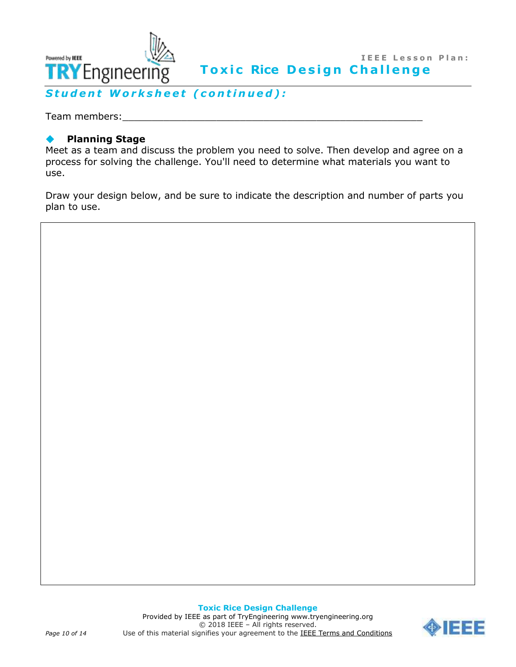

Student Worksheet (continued):

Team members:

# **Planning Stage**

Meet as a team and discuss the problem you need to solve. Then develop and agree on a process for solving the challenge. You'll need to determine what materials you want to use.

Draw your design below, and be sure to indicate the description and number of parts you plan to use.

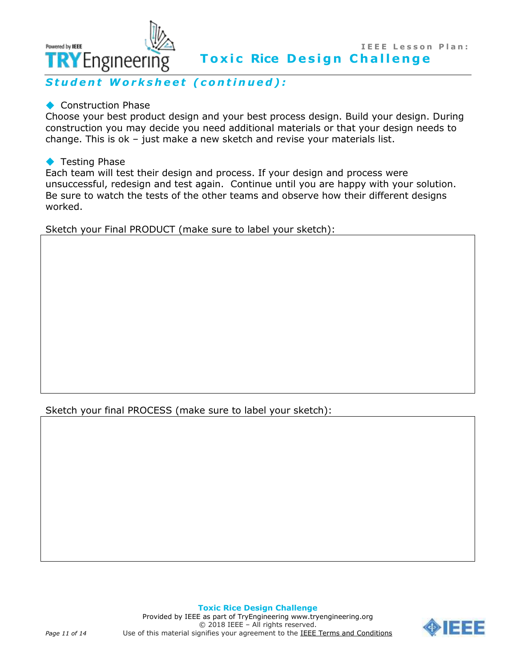

Student Worksheet (continued):

### ◆ Construction Phase

Choose your best product design and your best process design. Build your design. During construction you may decide you need additional materials or that your design needs to change. This is ok – just make a new sketch and revise your materials list.

### ◆ Testing Phase

Powered by **IEEE** 

Each team will test their design and process. If your design and process were unsuccessful, redesign and test again. Continue until you are happy with your solution. Be sure to watch the tests of the other teams and observe how their different designs worked.

Sketch your Final PRODUCT (make sure to label your sketch):

Sketch your final PROCESS (make sure to label your sketch):

**Toxic Rice Design Challenge** Provided by IEEE as part of TryEngineering www.tryengineering.org © 2018 IEEE – All rights reserved. Page 11 of 14 Use of this material signifies your agreement to the **IEEE Terms and Conditions** 

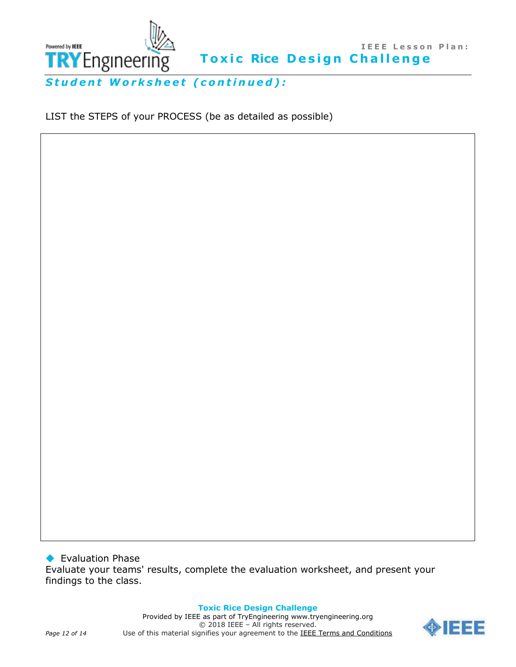

Student Worksheet (continued):

LIST the STEPS of your PROCESS (be as detailed as possible)

◆ Evaluation Phase Evaluate your teams' results, complete the evaluation worksheet, and present your findings to the class.

> **Toxic Rice Design Challenge** Provided by IEEE as part of TryEngineering www.tryengineering.org © 2018 IEEE – All rights reserved.



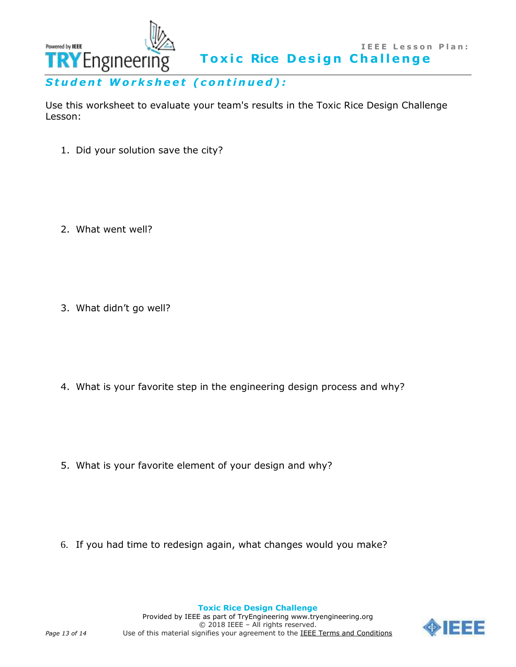

Use this worksheet to evaluate your team's results in the Toxic Rice Design Challenge Lesson:

1. Did your solution save the city?

2. What went well?

3. What didn't go well?

4. What is your favorite step in the engineering design process and why?

5. What is your favorite element of your design and why?

6. If you had time to redesign again, what changes would you make?